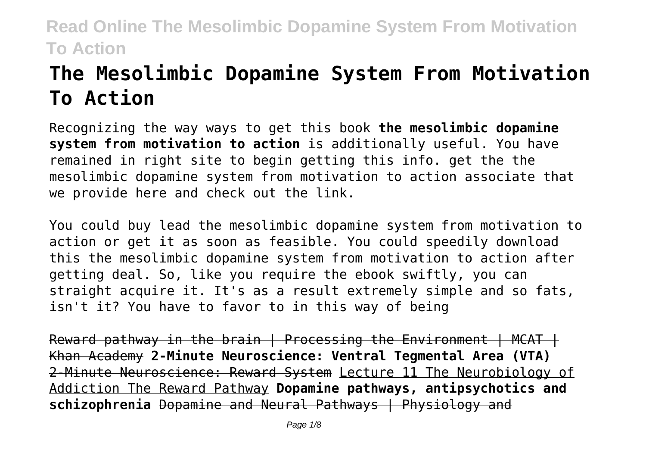# **The Mesolimbic Dopamine System From Motivation To Action**

Recognizing the way ways to get this book **the mesolimbic dopamine system from motivation to action** is additionally useful. You have remained in right site to begin getting this info. get the the mesolimbic dopamine system from motivation to action associate that we provide here and check out the link.

You could buy lead the mesolimbic dopamine system from motivation to action or get it as soon as feasible. You could speedily download this the mesolimbic dopamine system from motivation to action after getting deal. So, like you require the ebook swiftly, you can straight acquire it. It's as a result extremely simple and so fats, isn't it? You have to favor to in this way of being

Reward pathway in the brain | Processing the Environment | MCAT | Khan Academy **2-Minute Neuroscience: Ventral Tegmental Area (VTA)** 2-Minute Neuroscience: Reward System Lecture 11 The Neurobiology of Addiction The Reward Pathway **Dopamine pathways, antipsychotics and schizophrenia** Dopamine and Neural Pathways | Physiology and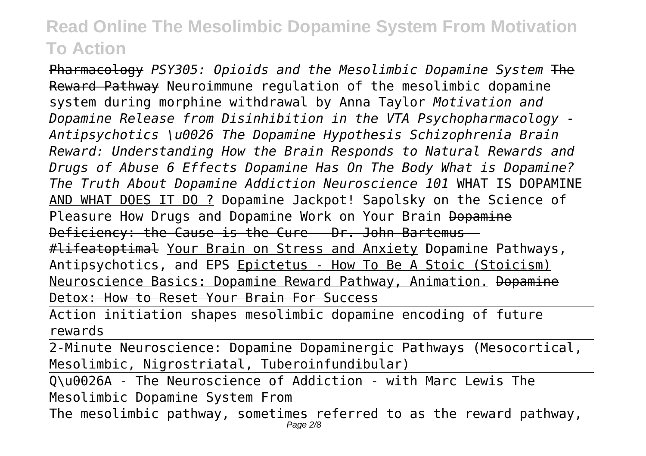Pharmacology *PSY305: Opioids and the Mesolimbic Dopamine System* The Reward Pathway Neuroimmune regulation of the mesolimbic dopamine system during morphine withdrawal by Anna Taylor *Motivation and Dopamine Release from Disinhibition in the VTA Psychopharmacology - Antipsychotics \u0026 The Dopamine Hypothesis Schizophrenia Brain Reward: Understanding How the Brain Responds to Natural Rewards and Drugs of Abuse 6 Effects Dopamine Has On The Body What is Dopamine? The Truth About Dopamine Addiction Neuroscience 101* WHAT IS DOPAMINE AND WHAT DOES IT DO ? Dopamine Jackpot! Sapolsky on the Science of Pleasure How Drugs and Dopamine Work on Your Brain Dopamine Deficiency: the Cause is the Cure - Dr. John Bartemus - #lifeatoptimal Your Brain on Stress and Anxiety Dopamine Pathways, Antipsychotics, and EPS Epictetus - How To Be A Stoic (Stoicism) Neuroscience Basics: Dopamine Reward Pathway, Animation. Dopamine Detox: How to Reset Your Brain For Success

Action initiation shapes mesolimbic dopamine encoding of future rewards

2-Minute Neuroscience: Dopamine Dopaminergic Pathways (Mesocortical, Mesolimbic, Nigrostriatal, Tuberoinfundibular)

Q\u0026A - The Neuroscience of Addiction - with Marc Lewis The Mesolimbic Dopamine System From

The mesolimbic pathway, sometimes referred to as the reward pathway,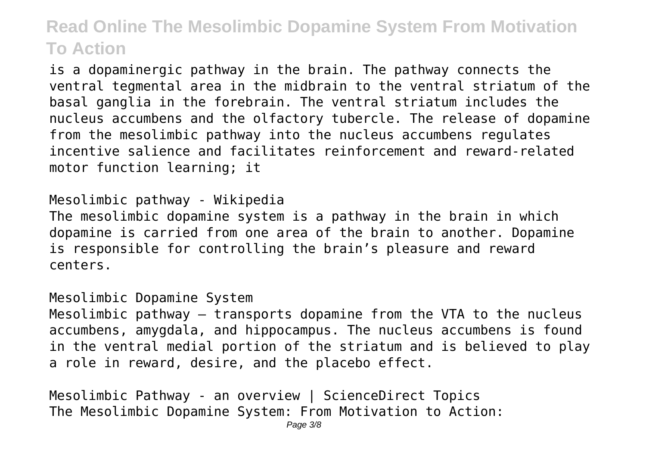is a dopaminergic pathway in the brain. The pathway connects the ventral tegmental area in the midbrain to the ventral striatum of the basal ganglia in the forebrain. The ventral striatum includes the nucleus accumbens and the olfactory tubercle. The release of dopamine from the mesolimbic pathway into the nucleus accumbens regulates incentive salience and facilitates reinforcement and reward-related motor function learning; it

### Mesolimbic pathway - Wikipedia

The mesolimbic dopamine system is a pathway in the brain in which dopamine is carried from one area of the brain to another. Dopamine is responsible for controlling the brain's pleasure and reward centers.

#### Mesolimbic Dopamine System

Mesolimbic pathway – transports dopamine from the VTA to the nucleus accumbens, amygdala, and hippocampus. The nucleus accumbens is found in the ventral medial portion of the striatum and is believed to play a role in reward, desire, and the placebo effect.

Mesolimbic Pathway - an overview | ScienceDirect Topics The Mesolimbic Dopamine System: From Motivation to Action: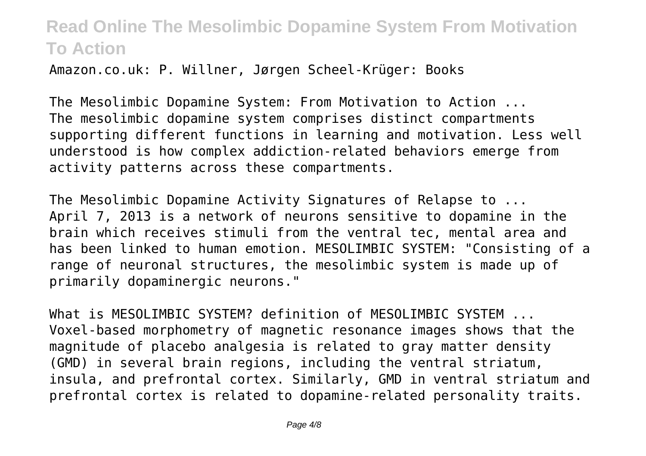Amazon.co.uk: P. Willner, Jørgen Scheel-Krüger: Books

The Mesolimbic Dopamine System: From Motivation to Action ... The mesolimbic dopamine system comprises distinct compartments supporting different functions in learning and motivation. Less well understood is how complex addiction-related behaviors emerge from activity patterns across these compartments.

The Mesolimbic Dopamine Activity Signatures of Relapse to ... April 7, 2013 is a network of neurons sensitive to dopamine in the brain which receives stimuli from the ventral tec, mental area and has been linked to human emotion. MESOLIMBIC SYSTEM: "Consisting of a range of neuronal structures, the mesolimbic system is made up of primarily dopaminergic neurons."

What is MESOLIMBIC SYSTEM? definition of MESOLIMBIC SYSTEM ... Voxel-based morphometry of magnetic resonance images shows that the magnitude of placebo analgesia is related to gray matter density (GMD) in several brain regions, including the ventral striatum, insula, and prefrontal cortex. Similarly, GMD in ventral striatum and prefrontal cortex is related to dopamine-related personality traits.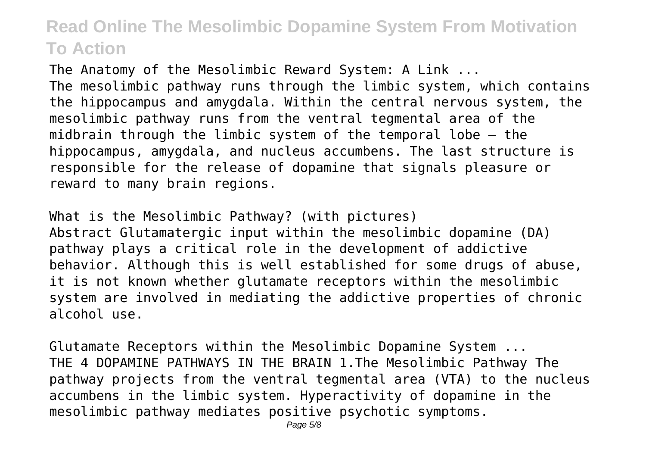The Anatomy of the Mesolimbic Reward System: A Link ... The mesolimbic pathway runs through the limbic system, which contains the hippocampus and amygdala. Within the central nervous system, the mesolimbic pathway runs from the ventral tegmental area of the midbrain through the limbic system of the temporal lobe — the hippocampus, amygdala, and nucleus accumbens. The last structure is responsible for the release of dopamine that signals pleasure or reward to many brain regions.

What is the Mesolimbic Pathway? (with pictures) Abstract Glutamatergic input within the mesolimbic dopamine (DA) pathway plays a critical role in the development of addictive behavior. Although this is well established for some drugs of abuse, it is not known whether glutamate receptors within the mesolimbic system are involved in mediating the addictive properties of chronic alcohol use.

Glutamate Receptors within the Mesolimbic Dopamine System ... THE 4 DOPAMINE PATHWAYS IN THE BRAIN 1.The Mesolimbic Pathway The pathway projects from the ventral tegmental area (VTA) to the nucleus accumbens in the limbic system. Hyperactivity of dopamine in the mesolimbic pathway mediates positive psychotic symptoms.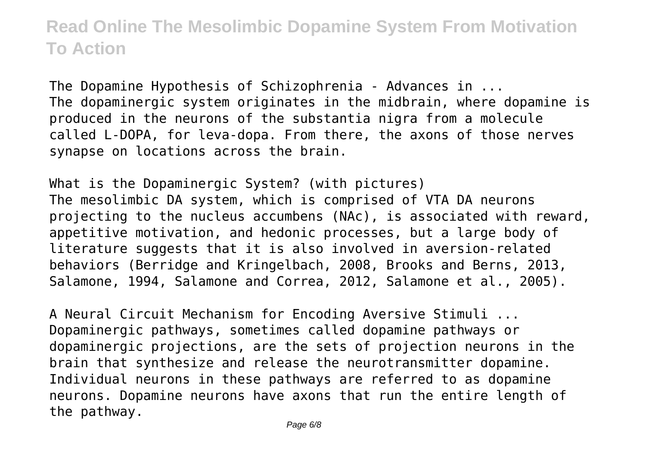The Dopamine Hypothesis of Schizophrenia - Advances in ... The dopaminergic system originates in the midbrain, where dopamine is produced in the neurons of the substantia nigra from a molecule called L-DOPA, for leva-dopa. From there, the axons of those nerves synapse on locations across the brain.

What is the Dopaminergic System? (with pictures) The mesolimbic DA system, which is comprised of VTA DA neurons projecting to the nucleus accumbens (NAc), is associated with reward, appetitive motivation, and hedonic processes, but a large body of literature suggests that it is also involved in aversion-related behaviors (Berridge and Kringelbach, 2008, Brooks and Berns, 2013, Salamone, 1994, Salamone and Correa, 2012, Salamone et al., 2005).

A Neural Circuit Mechanism for Encoding Aversive Stimuli ... Dopaminergic pathways, sometimes called dopamine pathways or dopaminergic projections, are the sets of projection neurons in the brain that synthesize and release the neurotransmitter dopamine. Individual neurons in these pathways are referred to as dopamine neurons. Dopamine neurons have axons that run the entire length of the pathway.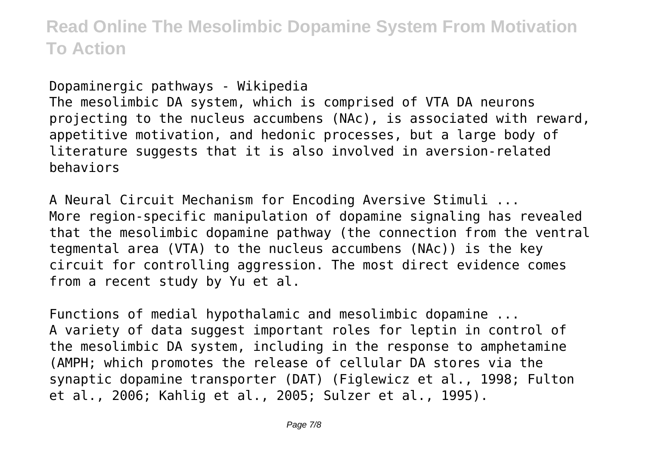Dopaminergic pathways - Wikipedia The mesolimbic DA system, which is comprised of VTA DA neurons projecting to the nucleus accumbens (NAc), is associated with reward, appetitive motivation, and hedonic processes, but a large body of literature suggests that it is also involved in aversion-related behaviors

A Neural Circuit Mechanism for Encoding Aversive Stimuli ... More region-specific manipulation of dopamine signaling has revealed that the mesolimbic dopamine pathway (the connection from the ventral tegmental area (VTA) to the nucleus accumbens (NAc)) is the key circuit for controlling aggression. The most direct evidence comes from a recent study by Yu et al.

Functions of medial hypothalamic and mesolimbic dopamine ... A variety of data suggest important roles for leptin in control of the mesolimbic DA system, including in the response to amphetamine (AMPH; which promotes the release of cellular DA stores via the synaptic dopamine transporter (DAT) (Figlewicz et al., 1998; Fulton et al., 2006; Kahlig et al., 2005; Sulzer et al., 1995).